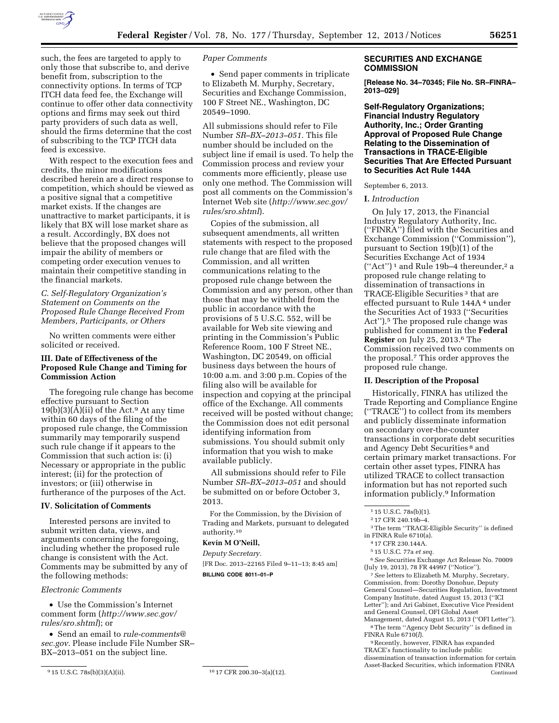

such, the fees are targeted to apply to only those that subscribe to, and derive benefit from, subscription to the connectivity options. In terms of TCP ITCH data feed fee, the Exchange will continue to offer other data connectivity options and firms may seek out third party providers of such data as well,

of subscribing to the TCP ITCH data feed is excessive. With respect to the execution fees and credits, the minor modifications described herein are a direct response to competition, which should be viewed as a positive signal that a competitive market exists. If the changes are unattractive to market participants, it is likely that BX will lose market share as a result. Accordingly, BX does not believe that the proposed changes will impair the ability of members or competing order execution venues to maintain their competitive standing in the financial markets.

should the firms determine that the cost

*C. Self-Regulatory Organization's Statement on Comments on the Proposed Rule Change Received From Members, Participants, or Others* 

No written comments were either solicited or received.

# **III. Date of Effectiveness of the Proposed Rule Change and Timing for Commission Action**

The foregoing rule change has become effective pursuant to Section  $19(b)(3)(A)(ii)$  of the Act.<sup>9</sup> At any time within 60 days of the filing of the proposed rule change, the Commission summarily may temporarily suspend such rule change if it appears to the Commission that such action is: (i) Necessary or appropriate in the public interest; (ii) for the protection of investors; or (iii) otherwise in furtherance of the purposes of the Act.

## **IV. Solicitation of Comments**

Interested persons are invited to submit written data, views, and arguments concerning the foregoing, including whether the proposed rule change is consistent with the Act. Comments may be submitted by any of the following methods:

### *Electronic Comments*

• Use the Commission's Internet comment form (*[http://www.sec.gov/](http://www.sec.gov/rules/sro.shtml) [rules/sro.shtml](http://www.sec.gov/rules/sro.shtml)*); or

• Send an email to *[rule-comments@](mailto:rule-comments@sec.gov) [sec.gov.](mailto:rule-comments@sec.gov)* Please include File Number SR– BX–2013–051 on the subject line.

9 15 U.S.C. 78s(b)(3)(A)(ii). 10 17 CFR 200.30–3(a)(12).

## *Paper Comments*

• Send paper comments in triplicate to Elizabeth M. Murphy, Secretary, Securities and Exchange Commission, 100 F Street NE., Washington, DC 20549–1090.

All submissions should refer to File Number *SR–BX–2013–051.* This file number should be included on the subject line if email is used. To help the Commission process and review your comments more efficiently, please use only one method. The Commission will post all comments on the Commission's Internet Web site (*[http://www.sec.gov/](http://www.sec.gov/rules/sro.shtml) [rules/sro.shtml](http://www.sec.gov/rules/sro.shtml)*).

Copies of the submission, all subsequent amendments, all written statements with respect to the proposed rule change that are filed with the Commission, and all written communications relating to the proposed rule change between the Commission and any person, other than those that may be withheld from the public in accordance with the provisions of 5 U.S.C. 552, will be available for Web site viewing and printing in the Commission's Public Reference Room, 100 F Street NE., Washington, DC 20549, on official business days between the hours of 10:00 a.m. and 3:00 p.m. Copies of the filing also will be available for inspection and copying at the principal office of the Exchange. All comments received will be posted without change; the Commission does not edit personal identifying information from submissions. You should submit only information that you wish to make available publicly.

All submissions should refer to File Number *SR–BX–2013–051* and should be submitted on or before October 3, 2013.

For the Commission, by the Division of Trading and Markets, pursuant to delegated authority.10

# **Kevin M O'Neill,**

*Deputy Secretary.*  [FR Doc. 2013–22165 Filed 9–11–13; 8:45 am] **BILLING CODE 8011–01–P** 

## **SECURITIES AND EXCHANGE COMMISSION**

**[Release No. 34–70345; File No. SR–FINRA– 2013–029]** 

**Self-Regulatory Organizations; Financial Industry Regulatory Authority, Inc.; Order Granting Approval of Proposed Rule Change Relating to the Dissemination of Transactions in TRACE-Eligible Securities That Are Effected Pursuant to Securities Act Rule 144A** 

September 6, 2013.

### **I.** *Introduction*

On July 17, 2013, the Financial Industry Regulatory Authority, Inc. (''FINRA'') filed with the Securities and Exchange Commission (''Commission''), pursuant to Section 19(b)(1) of the Securities Exchange Act of 1934  $("Act")^1$  and Rule 19b-4 thereunder,<sup>2</sup> a proposed rule change relating to dissemination of transactions in TRACE-Eligible Securities 3 that are effected pursuant to Rule 144A 4 under the Securities Act of 1933 (''Securities Act").<sup>5</sup> The proposed rule change was published for comment in the **Federal Register** on July 25, 2013.6 The Commission received two comments on the proposal.7 This order approves the proposed rule change.

## **II. Description of the Proposal**

Historically, FINRA has utilized the Trade Reporting and Compliance Engine (''TRACE'') to collect from its members and publicly disseminate information on secondary over-the-counter transactions in corporate debt securities and Agency Debt Securities 8 and certain primary market transactions. For certain other asset types, FINRA has utilized TRACE to collect transaction information but has not reported such information publicly.9 Information

6*See* Securities Exchange Act Release No. 70009 (July 19, 2013), 78 FR 44997 (''Notice'').

7*See* letters to Elizabeth M. Murphy, Secretary, Commission, from: Dorothy Donohue, Deputy General Counsel—Securities Regulation, Investment Company Institute, dated August 15, 2013 (''ICI Letter''); and Ari Gabinet, Executive Vice President and General Counsel, OFI Global Asset Management, dated August 15, 2013 (''OFI Letter'').

8The term ''Agency Debt Security'' is defined in FINRA Rule 6710(*l*).

9Recently, however, FINRA has expanded TRACE's functionality to include public dissemination of transaction information for certain Asset-Backed Securities, which information FINRA Continued

<sup>1</sup> 15 U.S.C. 78s(b)(1).

<sup>2</sup> 17 CFR 240.19b–4.

<sup>3</sup>The term ''TRACE-Eligible Security'' is defined in FINRA Rule 6710(a).

<sup>4</sup> 17 CFR 230.144A.

<sup>5</sup> 15 U.S.C. 77a *et seq.*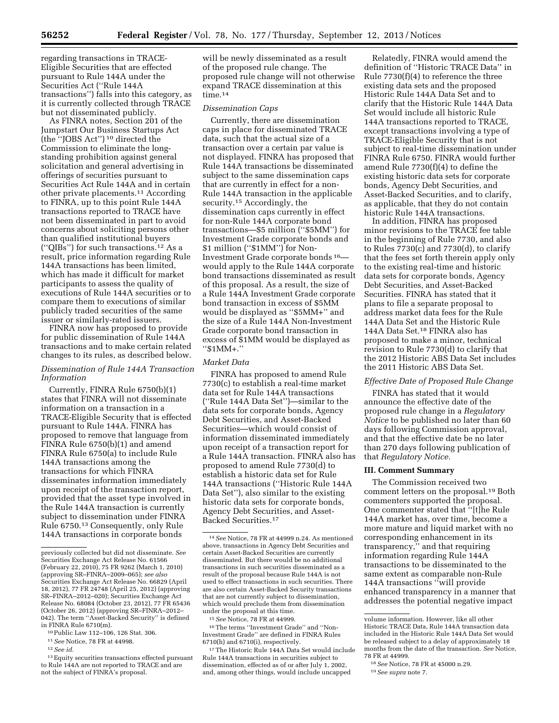regarding transactions in TRACE-Eligible Securities that are effected pursuant to Rule 144A under the Securities Act (''Rule 144A transactions'') falls into this category, as it is currently collected through TRACE but not disseminated publicly.

As FINRA notes, Section 201 of the Jumpstart Our Business Startups Act (the ''JOBS Act'') 10 directed the Commission to eliminate the longstanding prohibition against general solicitation and general advertising in offerings of securities pursuant to Securities Act Rule 144A and in certain other private placements.11 According to FINRA, up to this point Rule 144A transactions reported to TRACE have not been disseminated in part to avoid concerns about soliciting persons other than qualified institutional buyers (''QIBs'') for such transactions.12 As a result, price information regarding Rule 144A transactions has been limited, which has made it difficult for market participants to assess the quality of executions of Rule 144A securities or to compare them to executions of similar publicly traded securities of the same issuer or similarly-rated issuers.

FINRA now has proposed to provide for public dissemination of Rule 144A transactions and to make certain related changes to its rules, as described below.

## *Dissemination of Rule 144A Transaction Information*

Currently, FINRA Rule 6750(b)(1) states that FINRA will not disseminate information on a transaction in a TRACE-Eligible Security that is effected pursuant to Rule 144A. FINRA has proposed to remove that language from FINRA Rule 6750(b)(1) and amend FINRA Rule 6750(a) to include Rule 144A transactions among the transactions for which FINRA disseminates information immediately upon receipt of the transaction report, provided that the asset type involved in the Rule 144A transaction is currently subject to dissemination under FINRA Rule 6750.13 Consequently, only Rule 144A transactions in corporate bonds

12*See id.* 

will be newly disseminated as a result of the proposed rule change. The proposed rule change will not otherwise expand TRACE dissemination at this time.14

#### *Dissemination Caps*

Currently, there are dissemination caps in place for disseminated TRACE data, such that the actual size of a transaction over a certain par value is not displayed. FINRA has proposed that Rule 144A transactions be disseminated subject to the same dissemination caps that are currently in effect for a non-Rule 144A transaction in the applicable security.<sup>15</sup> Accordingly, the dissemination caps currently in effect for non-Rule 144A corporate bond transactions—\$5 million (''\$5MM'') for Investment Grade corporate bonds and \$1 million ("\$1MM") for Non-Investment Grade corporate bonds 16 would apply to the Rule 144A corporate bond transactions disseminated as result of this proposal. As a result, the size of a Rule 144A Investment Grade corporate bond transaction in excess of \$5MM would be displayed as ''\$5MM+'' and the size of a Rule 144A Non-Investment Grade corporate bond transaction in excess of \$1MM would be displayed as ''\$1MM+.''

# *Market Data*

FINRA has proposed to amend Rule 7730(c) to establish a real-time market data set for Rule 144A transactions (''Rule 144A Data Set'')—similar to the data sets for corporate bonds, Agency Debt Securities, and Asset-Backed Securities—which would consist of information disseminated immediately upon receipt of a transaction report for a Rule 144A transaction. FINRA also has proposed to amend Rule 7730(d) to establish a historic data set for Rule 144A transactions (''Historic Rule 144A Data Set''), also similar to the existing historic data sets for corporate bonds, Agency Debt Securities, and Asset-Backed Securities.17

16The terms ''Investment Grade'' and ''Non-Investment Grade'' are defined in FINRA Rules 6710(h) and 6710(i), respectively.

17The Historic Rule 144A Data Set would include Rule 144A transactions in securities subject to dissemination, effected as of or after July 1, 2002, and, among other things, would include uncapped

Relatedly, FINRA would amend the definition of ''Historic TRACE Data'' in Rule 7730(f)(4) to reference the three existing data sets and the proposed Historic Rule 144A Data Set and to clarify that the Historic Rule 144A Data Set would include all historic Rule 144A transactions reported to TRACE, except transactions involving a type of TRACE-Eligible Security that is not subject to real-time dissemination under FINRA Rule 6750. FINRA would further amend Rule 7730(f)(4) to define the existing historic data sets for corporate bonds, Agency Debt Securities, and Asset-Backed Securities, and to clarify, as applicable, that they do not contain historic Rule 144A transactions.

In addition, FINRA has proposed minor revisions to the TRACE fee table in the beginning of Rule 7730, and also to Rules 7730(c) and 7730(d), to clarify that the fees set forth therein apply only to the existing real-time and historic data sets for corporate bonds, Agency Debt Securities, and Asset-Backed Securities. FINRA has stated that it plans to file a separate proposal to address market data fees for the Rule 144A Data Set and the Historic Rule 144A Data Set.18 FINRA also has proposed to make a minor, technical revision to Rule 7730(d) to clarify that the 2012 Historic ABS Data Set includes the 2011 Historic ABS Data Set.

# *Effective Date of Proposed Rule Change*

FINRA has stated that it would announce the effective date of the proposed rule change in a *Regulatory Notice* to be published no later than 60 days following Commission approval, and that the effective date be no later than 270 days following publication of that *Regulatory Notice.* 

#### **III. Comment Summary**

The Commission received two comment letters on the proposal.19 Both commenters supported the proposal. One commenter stated that ''[t]he Rule 144A market has, over time, become a more mature and liquid market with no corresponding enhancement in its transparency,'' and that requiring information regarding Rule 144A transactions to be disseminated to the same extent as comparable non-Rule 144A transactions ''will provide enhanced transparency in a manner that addresses the potential negative impact

previously collected but did not disseminate. *See*  Securities Exchange Act Release No. 61566 (February 22, 2010), 75 FR 9262 (March 1, 2010) (approving SR–FINRA–2009–065); *see also*  Securities Exchange Act Release No. 66829 (April 18, 2012), 77 FR 24748 (April 25, 2012) (approving SR–FINRA–2012–020); Securities Exchange Act Release No. 68084 (October 23, 2012), 77 FR 65436 (October 26, 2012) (approving SR–FINRA–2012– 042). The term ''Asset-Backed Security'' is defined in FINRA Rule 6710(m).

<sup>10</sup>Public Law 112–106, 126 Stat. 306.

<sup>11</sup>*See* Notice, 78 FR at 44998.

<sup>13</sup>Equity securities transactions effected pursuant to Rule 144A are not reported to TRACE and are not the subject of FINRA's proposal.

<sup>14</sup>*See* Notice, 78 FR at 44999 n.24. As mentioned above, transactions in Agency Debt Securities and certain Asset-Backed Securities are currently disseminated. But there would be no additional transactions in such securities disseminated as a result of the proposal because Rule 144A is not used to effect transactions in such securities. There are also certain Asset-Backed Security transactions that are not currently subject to dissemination, which would preclude them from dissemination under the proposal at this time.

<sup>15</sup>*See* Notice, 78 FR at 44999.

volume information. However, like all other Historic TRACE Data, Rule 144A transaction data included in the Historic Rule 144A Data Set would be released subject to a delay of approximately 18 months from the date of the transaction. *See* Notice, 78 FR at 44999.

<sup>18</sup>*See* Notice, 78 FR at 45000 n.29.

<sup>19</sup>*See supra* note 7.